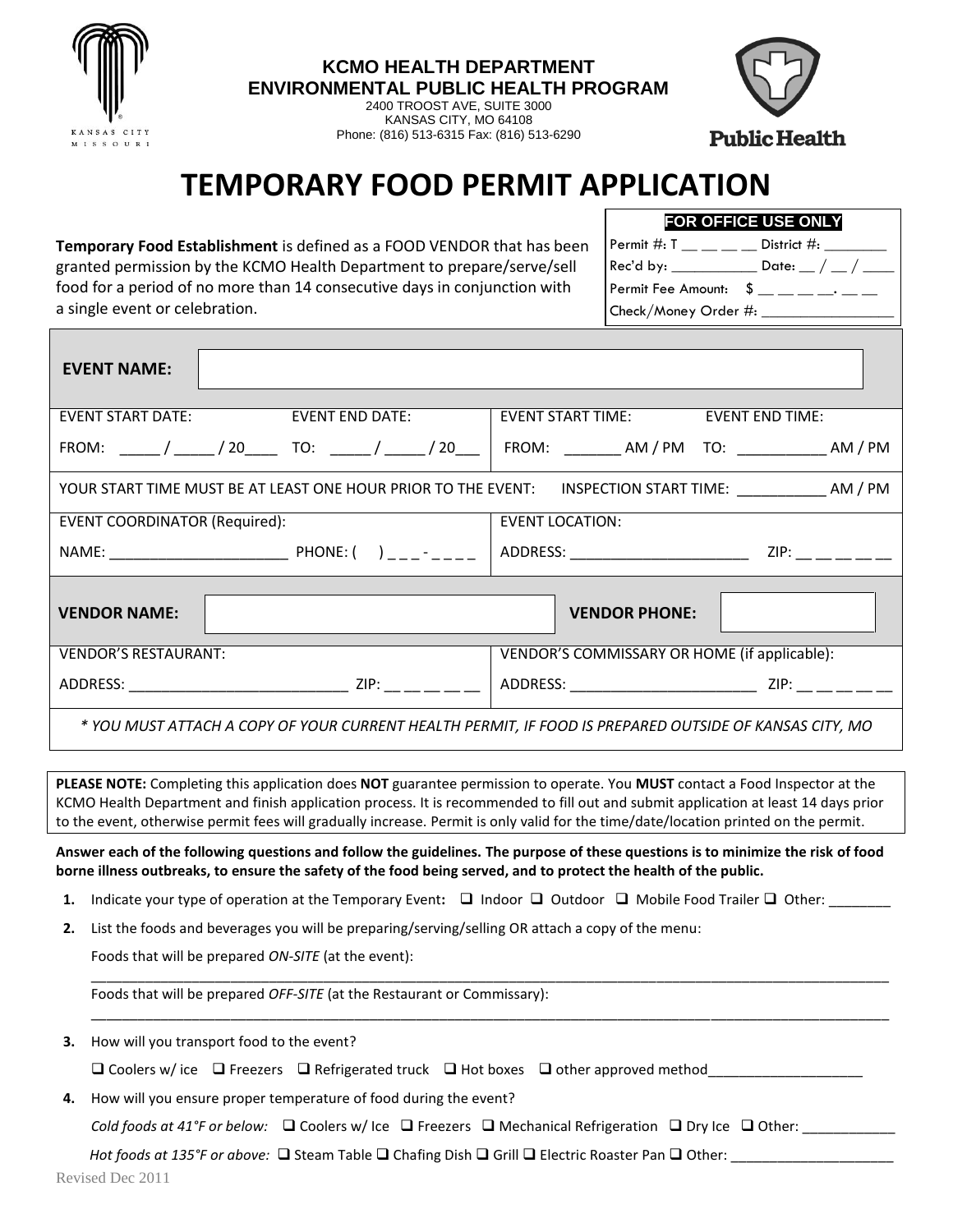

**KCMO HEALTH DEPARTMENT ENVIRONMENTAL PUBLIC HEALTH PROGRAM**

> 2400 TROOST AVE, SUITE 3000 KANSAS CITY, MO 64108 Phone: (816) 513-6315 Fax: (816) 513-6290



**Public Health** 

## **TEMPORARY FOOD PERMIT APPLICATION**

**Temporary Food Establishment** is defined as a FOOD VENDOR that has been granted permission by the KCMO Health Department to prepare/serve/sell food for a period of no more than 14 consecutive days in conjunction with a single event or celebration.

**FOR OFFICE USE ONLY** Permit #:  $T_$  \_\_ \_ \_ \_ \_ District #: \_\_\_\_\_\_\_ Rec'd by: \_\_\_\_\_\_\_\_\_\_\_\_\_ Date: \_\_ / \_\_ / \_\_ Permit Fee Amount:  $\quad \text{S}$  \_\_ \_ \_ \_ \_ \_ Check/Money Order #:

| <b>EVENT NAME:</b>                                                                                         |                 |                                                                                                                                                       |  |  |  |
|------------------------------------------------------------------------------------------------------------|-----------------|-------------------------------------------------------------------------------------------------------------------------------------------------------|--|--|--|
| <b>EVENT START DATE:</b>                                                                                   | EVENT END DATE: | EVENT START TIME: EVENT END TIME:                                                                                                                     |  |  |  |
|                                                                                                            |                 | FROM: ______/ ______/ 20______ TO: ______/ _____/ 20____   FROM: _________AM / PM TO: _____________AM / PM                                            |  |  |  |
| YOUR START TIME MUST BE AT LEAST ONE HOUR PRIOR TO THE EVENT: INSPECTION START TIME: _____________ AM / PM |                 |                                                                                                                                                       |  |  |  |
| <b>EVENT COORDINATOR (Required):</b>                                                                       |                 | <b>EVENT LOCATION:</b>                                                                                                                                |  |  |  |
|                                                                                                            |                 | ADDRESS: ___________________________<br>ZIP: Andrea Maria Maria Santa Santa Santa Alemania a Santa Alemania a Santa Alemania a Santa Alemania a Santa |  |  |  |
| <b>VENDOR NAME:</b><br><b>VENDOR PHONE:</b>                                                                |                 |                                                                                                                                                       |  |  |  |
| <b>VENDOR'S RESTAURANT:</b>                                                                                |                 | VENDOR'S COMMISSARY OR HOME (if applicable):                                                                                                          |  |  |  |
|                                                                                                            |                 | ADDRESS: 21P: 21P:                                                                                                                                    |  |  |  |
| NOU MUST ATTACH A COPY OF YOUR CURRENT HEALTH PERMIT, IF FOOD IS PREPARED OUTSIDE OF KANSAS CITY, MO * *   |                 |                                                                                                                                                       |  |  |  |

**PLEASE NOTE:** Completing this application does **NOT** guarantee permission to operate. You **MUST** contact a Food Inspector at the KCMO Health Department and finish application process. It is recommended to fill out and submit application at least 14 days prior to the event, otherwise permit fees will gradually increase. Permit is only valid for the time/date/location printed on the permit.

**Answer each of the following questions and follow the guidelines. The purpose of these questions is to minimize the risk of food borne illness outbreaks, to ensure the safety of the food being served, and to protect the health of the public.**

**1.** Indicate your type of operation at the Temporary Event:  $\Box$  Indoor  $\Box$  Outdoor  $\Box$  Mobile Food Trailer  $\Box$  Other:

\_\_\_\_\_\_\_\_\_\_\_\_\_\_\_\_\_\_\_\_\_\_\_\_\_\_\_\_\_\_\_\_\_\_\_\_\_\_\_\_\_\_\_\_\_\_\_\_\_\_\_\_\_\_\_\_\_\_\_\_\_\_\_\_\_\_\_\_\_\_\_\_\_\_\_\_\_\_\_\_\_\_\_\_\_\_\_\_\_\_\_\_\_\_\_\_\_\_\_\_\_\_\_

\_\_\_\_\_\_\_\_\_\_\_\_\_\_\_\_\_\_\_\_\_\_\_\_\_\_\_\_\_\_\_\_\_\_\_\_\_\_\_\_\_\_\_\_\_\_\_\_\_\_\_\_\_\_\_\_\_\_\_\_\_\_\_\_\_\_\_\_\_\_\_\_\_\_\_\_\_\_\_\_\_\_\_\_\_\_\_\_\_\_\_\_\_\_\_\_\_\_\_\_\_\_\_

**2.** List the foods and beverages you will be preparing/serving/selling OR attach a copy of the menu:

Foods that will be prepared *ON-SITE* (at the event):

Foods that will be prepared *OFF-SITE* (at the Restaurant or Commissary):

**3.** How will you transport food to the event?

|  |  |  |  | $\square$ Coolers w/ ice $\square$ Freezers $\square$ Refrigerated truck $\square$ Hot boxes $\square$ other approved method |
|--|--|--|--|------------------------------------------------------------------------------------------------------------------------------|
|--|--|--|--|------------------------------------------------------------------------------------------------------------------------------|

**4.** How will you ensure proper temperature of food during the event?

*Cold foods at 41°F or below:*  $\square$  Coolers w/ Ice  $\square$  Freezers  $\square$  Mechanical Refrigeration  $\square$  Dry Ice  $\square$  Other:

*Hot foods at 135°F or above:*  $\square$  Steam Table  $\square$  Chafing Dish  $\square$  Grill  $\square$  Electric Roaster Pan  $\square$  Other: